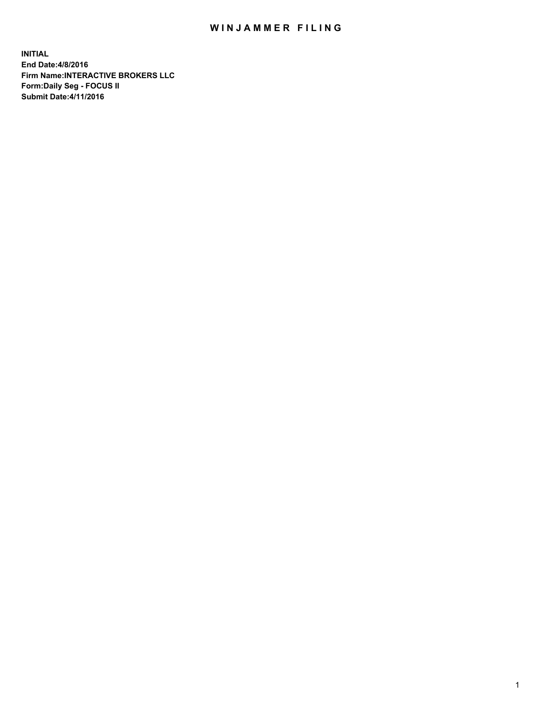## WIN JAMMER FILING

**INITIAL End Date:4/8/2016 Firm Name:INTERACTIVE BROKERS LLC Form:Daily Seg - FOCUS II Submit Date:4/11/2016**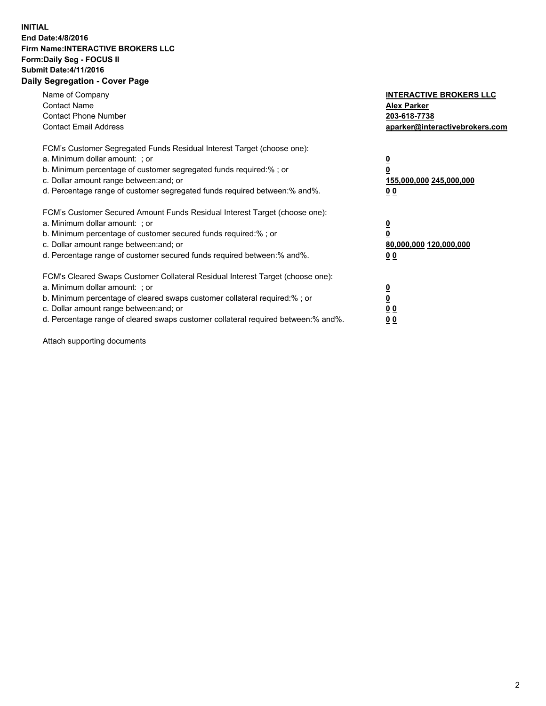## **INITIAL End Date:4/8/2016 Firm Name:INTERACTIVE BROKERS LLC Form:Daily Seg - FOCUS II Submit Date:4/11/2016 Daily Segregation - Cover Page**

| Name of Company<br><b>Contact Name</b><br><b>Contact Phone Number</b><br><b>Contact Email Address</b>                                                                                                                                                                                                                         | <b>INTERACTIVE BROKERS LLC</b><br><b>Alex Parker</b><br>203-618-7738<br>aparker@interactivebrokers.com |
|-------------------------------------------------------------------------------------------------------------------------------------------------------------------------------------------------------------------------------------------------------------------------------------------------------------------------------|--------------------------------------------------------------------------------------------------------|
| FCM's Customer Segregated Funds Residual Interest Target (choose one):<br>a. Minimum dollar amount: ; or<br>b. Minimum percentage of customer segregated funds required:% ; or<br>c. Dollar amount range between: and; or<br>d. Percentage range of customer segregated funds required between:% and%.                        | <u>0</u><br>155,000,000 245,000,000<br>00                                                              |
| FCM's Customer Secured Amount Funds Residual Interest Target (choose one):<br>a. Minimum dollar amount: ; or<br>b. Minimum percentage of customer secured funds required:%; or<br>c. Dollar amount range between: and; or<br>d. Percentage range of customer secured funds required between:% and%.                           | <u>0</u><br>80,000,000 120,000,000<br>00                                                               |
| FCM's Cleared Swaps Customer Collateral Residual Interest Target (choose one):<br>a. Minimum dollar amount: ; or<br>b. Minimum percentage of cleared swaps customer collateral required:%; or<br>c. Dollar amount range between: and; or<br>d. Percentage range of cleared swaps customer collateral required between:% and%. | <u>0</u><br>0 <sub>0</sub><br><u>00</u>                                                                |

Attach supporting documents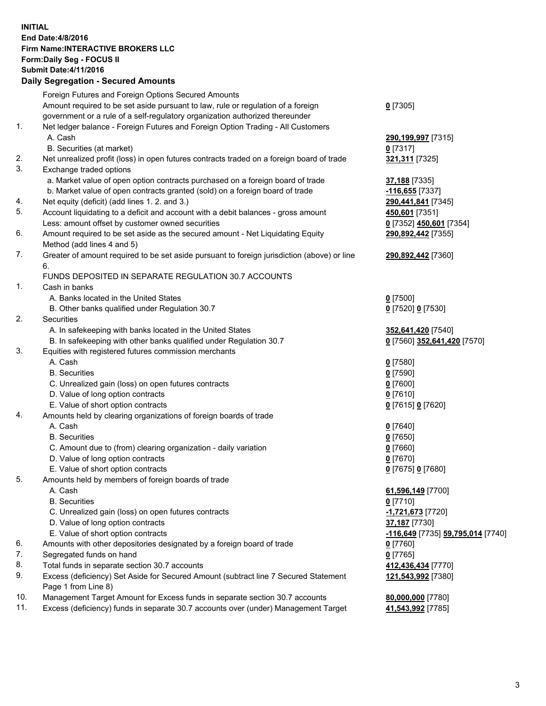## **INITIAL End Date:4/8/2016 Firm Name:INTERACTIVE BROKERS LLC Form:Daily Seg - FOCUS II Submit Date:4/11/2016 Daily Segregation - Secured Amounts**

|     | Foreign Futures and Foreign Options Secured Amounts                                         |                                   |
|-----|---------------------------------------------------------------------------------------------|-----------------------------------|
|     | Amount required to be set aside pursuant to law, rule or regulation of a foreign            | $0$ [7305]                        |
|     | government or a rule of a self-regulatory organization authorized thereunder                |                                   |
| 1.  | Net ledger balance - Foreign Futures and Foreign Option Trading - All Customers             |                                   |
|     | A. Cash                                                                                     | 290,199,997 [7315]                |
|     | B. Securities (at market)                                                                   | $0$ [7317]                        |
| 2.  | Net unrealized profit (loss) in open futures contracts traded on a foreign board of trade   | 321,311 [7325]                    |
| 3.  | Exchange traded options                                                                     |                                   |
|     | a. Market value of open option contracts purchased on a foreign board of trade              | 37,188 [7335]                     |
|     | b. Market value of open contracts granted (sold) on a foreign board of trade                | -116,655 [7337]                   |
| 4.  | Net equity (deficit) (add lines 1.2. and 3.)                                                | 290,441,841 [7345]                |
| 5.  | Account liquidating to a deficit and account with a debit balances - gross amount           | 450,601 [7351]                    |
|     | Less: amount offset by customer owned securities                                            | 0 [7352] 450,601 [7354]           |
| 6.  | Amount required to be set aside as the secured amount - Net Liquidating Equity              | 290,892,442 [7355]                |
|     | Method (add lines 4 and 5)                                                                  |                                   |
| 7.  | Greater of amount required to be set aside pursuant to foreign jurisdiction (above) or line | 290,892,442 [7360]                |
|     | 6.                                                                                          |                                   |
|     | FUNDS DEPOSITED IN SEPARATE REGULATION 30.7 ACCOUNTS                                        |                                   |
| 1.  | Cash in banks                                                                               |                                   |
|     | A. Banks located in the United States                                                       | $0$ [7500]                        |
|     | B. Other banks qualified under Regulation 30.7                                              | 0 [7520] 0 [7530]                 |
| 2.  | Securities                                                                                  |                                   |
|     | A. In safekeeping with banks located in the United States                                   | 352,641,420 [7540]                |
|     | B. In safekeeping with other banks qualified under Regulation 30.7                          | 0 [7560] 352,641,420 [7570]       |
| 3.  | Equities with registered futures commission merchants                                       |                                   |
|     | A. Cash                                                                                     | $0$ [7580]                        |
|     | <b>B.</b> Securities                                                                        | $0$ [7590]                        |
|     | C. Unrealized gain (loss) on open futures contracts                                         | $0$ [7600]                        |
|     | D. Value of long option contracts                                                           | $0$ [7610]                        |
|     | E. Value of short option contracts                                                          | 0 [7615] 0 [7620]                 |
| 4.  | Amounts held by clearing organizations of foreign boards of trade                           |                                   |
|     | A. Cash                                                                                     | $0$ [7640]                        |
|     | <b>B.</b> Securities                                                                        | $0$ [7650]                        |
|     | C. Amount due to (from) clearing organization - daily variation                             | $0$ [7660]                        |
|     | D. Value of long option contracts                                                           | $0$ [7670]                        |
|     | E. Value of short option contracts                                                          | 0 [7675] 0 [7680]                 |
| 5.  | Amounts held by members of foreign boards of trade                                          |                                   |
|     | A. Cash                                                                                     | 61,596,149 [7700]                 |
|     | <b>B.</b> Securities                                                                        | $0$ [7710]                        |
|     | C. Unrealized gain (loss) on open futures contracts                                         | 1,721,673 [7720]                  |
|     | D. Value of long option contracts                                                           | 37,187 [7730]                     |
|     | E. Value of short option contracts                                                          | -116,649 [7735] 59,795,014 [7740] |
| 6.  | Amounts with other depositories designated by a foreign board of trade                      | $0$ [7760]                        |
| 7.  | Segregated funds on hand                                                                    | $0$ [7765]                        |
| 8.  | Total funds in separate section 30.7 accounts                                               | 412,436,434 [7770]                |
| 9.  | Excess (deficiency) Set Aside for Secured Amount (subtract line 7 Secured Statement         | 121,543,992 [7380]                |
|     | Page 1 from Line 8)                                                                         |                                   |
| 10. | Management Target Amount for Excess funds in separate section 30.7 accounts                 | 80,000,000 [7780]                 |
| 11. | Excess (deficiency) funds in separate 30.7 accounts over (under) Management Target          | 41,543,992 [7785]                 |
|     |                                                                                             |                                   |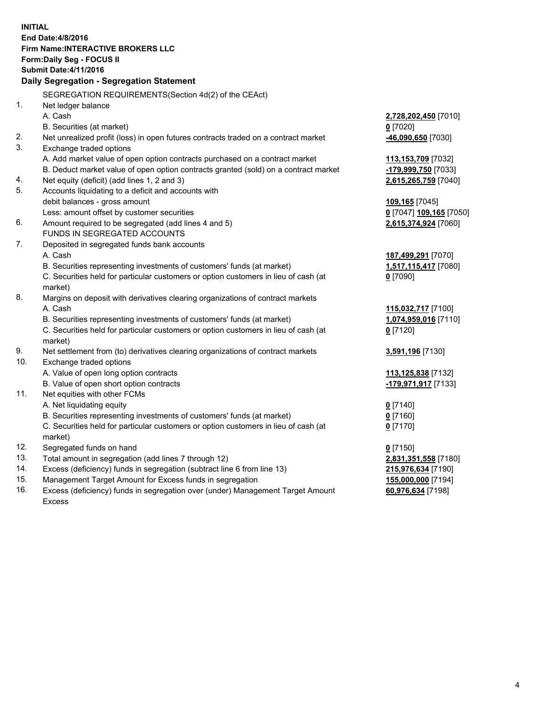**INITIAL End Date:4/8/2016 Firm Name:INTERACTIVE BROKERS LLC Form:Daily Seg - FOCUS II Submit Date:4/11/2016 Daily Segregation - Segregation Statement** SEGREGATION REQUIREMENTS(Section 4d(2) of the CEAct) 1. Net ledger balance A. Cash **2,728,202,450** [7010] B. Securities (at market) **0** [7020] 2. Net unrealized profit (loss) in open futures contracts traded on a contract market **-46,090,650** [7030] 3. Exchange traded options A. Add market value of open option contracts purchased on a contract market **113,153,709** [7032] B. Deduct market value of open option contracts granted (sold) on a contract market **-179,999,750** [7033] 4. Net equity (deficit) (add lines 1, 2 and 3) **2,615,265,759** [7040] 5. Accounts liquidating to a deficit and accounts with debit balances - gross amount **109,165** [7045] Less: amount offset by customer securities **0** [7047] **109,165** [7050] 6. Amount required to be segregated (add lines 4 and 5) **2,615,374,924** [7060] FUNDS IN SEGREGATED ACCOUNTS 7. Deposited in segregated funds bank accounts A. Cash **187,499,291** [7070] B. Securities representing investments of customers' funds (at market) **1,517,115,417** [7080] C. Securities held for particular customers or option customers in lieu of cash (at market) **0** [7090] 8. Margins on deposit with derivatives clearing organizations of contract markets A. Cash **115,032,717** [7100] B. Securities representing investments of customers' funds (at market) **1,074,959,016** [7110] C. Securities held for particular customers or option customers in lieu of cash (at market) **0** [7120] 9. Net settlement from (to) derivatives clearing organizations of contract markets **3,591,196** [7130] 10. Exchange traded options A. Value of open long option contracts **113,125,838** [7132] B. Value of open short option contracts **-179,971,917** [7133] 11. Net equities with other FCMs A. Net liquidating equity **0** [7140] B. Securities representing investments of customers' funds (at market) **0** [7160] C. Securities held for particular customers or option customers in lieu of cash (at market) **0** [7170] 12. Segregated funds on hand **0** [7150] 13. Total amount in segregation (add lines 7 through 12) **2,831,351,558** [7180] 14. Excess (deficiency) funds in segregation (subtract line 6 from line 13) **215,976,634** [7190] 15. Management Target Amount for Excess funds in segregation **155,000,000** [7194] **60,976,634** [7198]

16. Excess (deficiency) funds in segregation over (under) Management Target Amount Excess